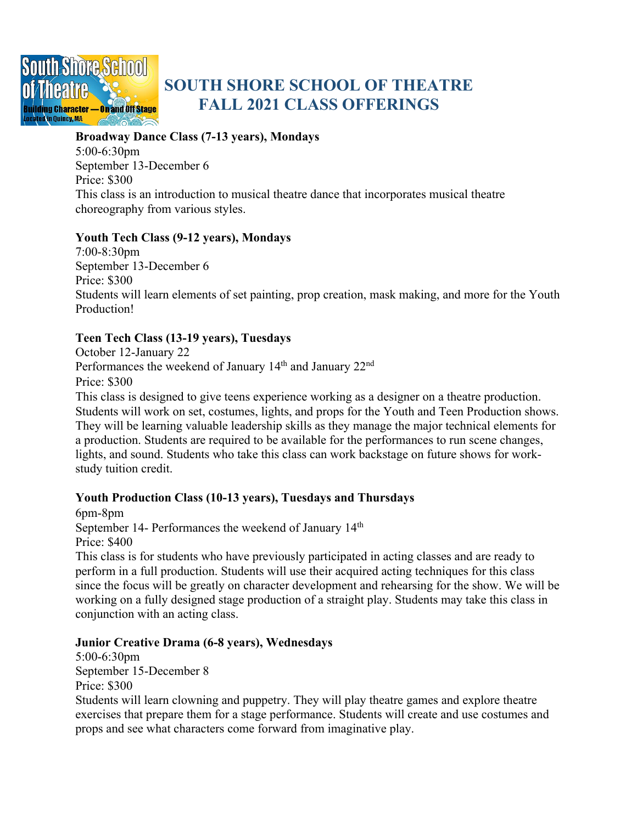

# **SOUTH SHORE SCHOOL OF THEATRE FALL 2021 CLASS OFFERINGS**

#### **Broadway Dance Class (7-13 years), Mondays**

5:00-6:30pm September 13-December 6 Price: \$300 This class is an introduction to musical theatre dance that incorporates musical theatre choreography from various styles.

## **Youth Tech Class (9-12 years), Mondays**

7:00-8:30pm September 13-December 6 Price: \$300 Students will learn elements of set painting, prop creation, mask making, and more for the Youth Production!

# **Teen Tech Class (13-19 years), Tuesdays**

October 12-January 22 Performances the weekend of January 14<sup>th</sup> and January 22<sup>nd</sup> Price: \$300

This class is designed to give teens experience working as a designer on a theatre production. Students will work on set, costumes, lights, and props for the Youth and Teen Production shows. They will be learning valuable leadership skills as they manage the major technical elements for a production. Students are required to be available for the performances to run scene changes, lights, and sound. Students who take this class can work backstage on future shows for workstudy tuition credit.

## **Youth Production Class (10-13 years), Tuesdays and Thursdays**

6pm-8pm September 14- Performances the weekend of January 14<sup>th</sup> Price: \$400

This class is for students who have previously participated in acting classes and are ready to perform in a full production. Students will use their acquired acting techniques for this class since the focus will be greatly on character development and rehearsing for the show. We will be working on a fully designed stage production of a straight play. Students may take this class in conjunction with an acting class.

## **Junior Creative Drama (6-8 years), Wednesdays**

5:00-6:30pm September 15-December 8 Price: \$300

Students will learn clowning and puppetry. They will play theatre games and explore theatre exercises that prepare them for a stage performance. Students will create and use costumes and props and see what characters come forward from imaginative play.